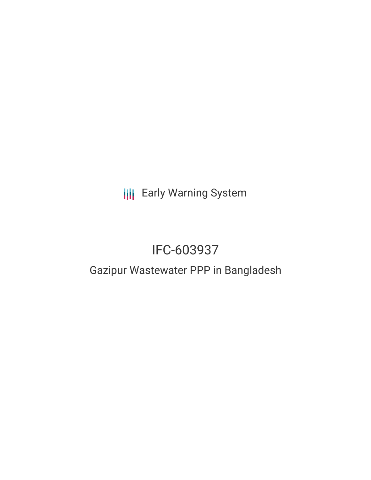**III** Early Warning System

# IFC-603937

# Gazipur Wastewater PPP in Bangladesh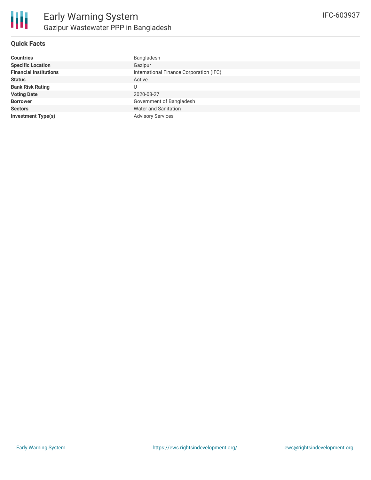

### **Quick Facts**

| <b>Countries</b>              | Bangladesh                              |
|-------------------------------|-----------------------------------------|
| <b>Specific Location</b>      | Gazipur                                 |
| <b>Financial Institutions</b> | International Finance Corporation (IFC) |
| <b>Status</b>                 | Active                                  |
| <b>Bank Risk Rating</b>       |                                         |
| <b>Voting Date</b>            | 2020-08-27                              |
| <b>Borrower</b>               | Government of Bangladesh                |
| <b>Sectors</b>                | Water and Sanitation                    |
| <b>Investment Type(s)</b>     | <b>Advisory Services</b>                |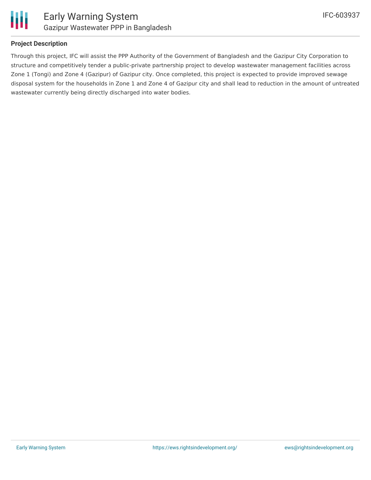

## **Project Description**

Through this project, IFC will assist the PPP Authority of the Government of Bangladesh and the Gazipur City Corporation to structure and competitively tender a public-private partnership project to develop wastewater management facilities across Zone 1 (Tongi) and Zone 4 (Gazipur) of Gazipur city. Once completed, this project is expected to provide improved sewage disposal system for the households in Zone 1 and Zone 4 of Gazipur city and shall lead to reduction in the amount of untreated wastewater currently being directly discharged into water bodies.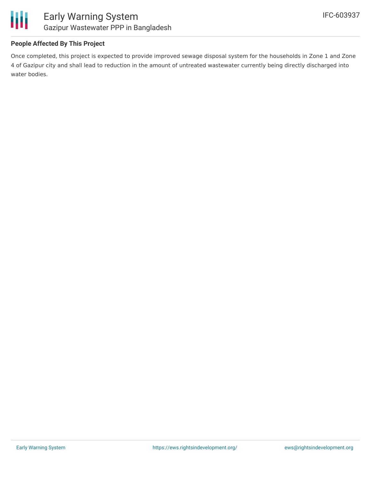

# **People Affected By This Project**

Once completed, this project is expected to provide improved sewage disposal system for the households in Zone 1 and Zone 4 of Gazipur city and shall lead to reduction in the amount of untreated wastewater currently being directly discharged into water bodies.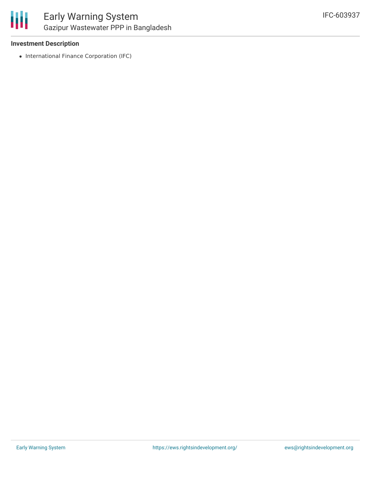

#### **Investment Description**

• International Finance Corporation (IFC)